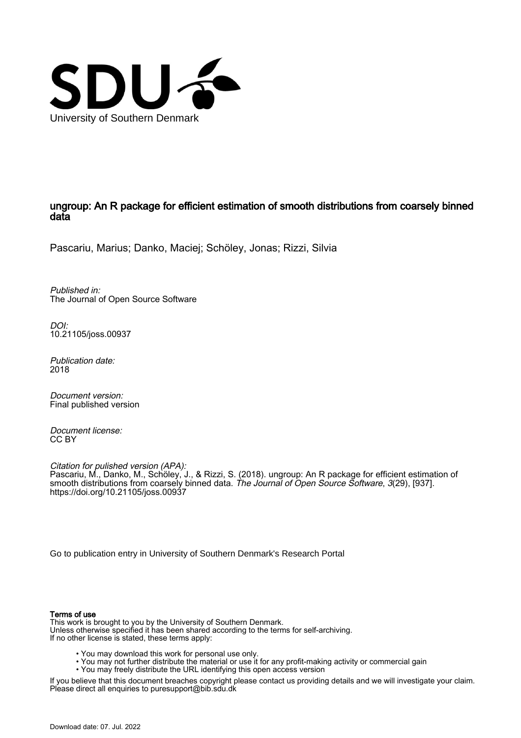

### ungroup: An R package for efficient estimation of smooth distributions from coarsely binned data

Pascariu, Marius; Danko, Maciej; Schöley, Jonas; Rizzi, Silvia

Published in: The Journal of Open Source Software

DOI: [10.21105/joss.00937](https://doi.org/10.21105/joss.00937)

Publication date: 2018

Document version: Final published version

Document license: CC BY

Citation for pulished version (APA): Pascariu, M., Danko, M., Schöley, J., & Rizzi, S. (2018). ungroup: An R package for efficient estimation of smooth distributions from coarsely binned data. *The Journal of Open Source Software*, *3*(29), [937]. <https://doi.org/10.21105/joss.00937>

[Go to publication entry in University of Southern Denmark's Research Portal](https://portal.findresearcher.sdu.dk/en/publications/bcc31e63-f542-482d-82d9-bee3f6ed96ff)

### Terms of use

This work is brought to you by the University of Southern Denmark. Unless otherwise specified it has been shared according to the terms for self-archiving. If no other license is stated, these terms apply:

- You may download this work for personal use only.
- You may not further distribute the material or use it for any profit-making activity or commercial gain
	- You may freely distribute the URL identifying this open access version

If you believe that this document breaches copyright please contact us providing details and we will investigate your claim. Please direct all enquiries to puresupport@bib.sdu.dk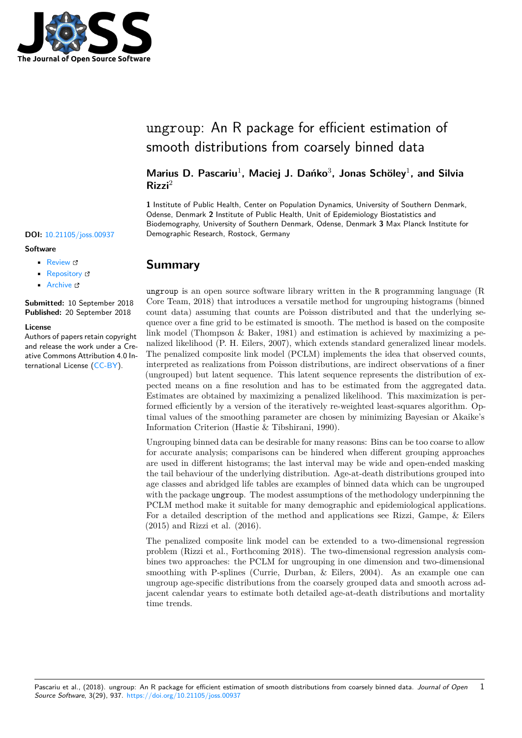

# ungroup: An R package for efficient estimation of smooth distributions from coarsely binned data

### Marius D. Pascariu<sup>1</sup>, Maciej J. Dańko<sup>3</sup>, Jonas Schöley<sup>1</sup>, and Silvia **Rizzi**<sup>2</sup>

**1** Institute of Public Health, Center on Population Dynamics, University of Southern Denmark, Odense, Denmark **2** Institute of Public Health, Unit of Epidemiology Biostatistics and Biodemography, University of Southern Denmark, Odense, Denmark **3** Max Planck Institute for **DOI:** 10.21105/joss.00937 Demographic Research, Rostock, Germany

## **Summary**

ungroup is an open source software library written in the R programming language (R Core Team, 2018) that introduces a versatile method for ungrouping histograms (binned count data) assuming that counts are Poisson distributed and that the underlying sequence over a fine grid to be estimated is smooth. The method is based on the composite link model (Thompson & Baker, 1981) and estimation is achieved by maximizing a penalized likelihood (P. H. Eilers, 2007), which extends standard generalized linear models. The penalized composite link model (PCLM) implements the idea that observed counts, interpreted as realizations from Poisson distributions, are indirect observations of a finer (ungrouped) but latent sequence. This latent sequence represents the distribution of expected means on a fine resolution and has to be estimated from the aggregated data. Estimates are obtained by maximizing a penalized likelihood. This maximization is performed efficiently by a version of the iteratively re-weighted least-squares algorithm. Optimal values of the smoothing parameter are chosen by minimizing Bayesian or Akaike's Information Criterion (Hastie & Tibshirani, 1990).

Ungrouping binned data can be desirable for many reasons: Bins can be too coarse to allow for accurate analysis; comparisons can be hindered when different grouping approaches are used in different histograms; the last interval may be wide and open-ended masking the tail behaviour of the underlying distribution. Age-at-death distributions grouped into age classes and abridged life tables are examples of binned data which can be ungrouped with the package ungroup. The modest assumptions of the methodology underpinning the PCLM method make it suitable for many demographic and epidemiological applications. For a detailed description of the method and applications see Rizzi, Gampe, & Eilers (2015) and Rizzi et al. (2016).

The penalized composite link model can be extended to a two-dimensional regression problem (Rizzi et al., Forthcoming 2018). The two-dimensional regression analysis combines two approaches: the PCLM for ungrouping in one dimension and two-dimensional smoothing with P-splines (Currie, Durban, & Eilers, 2004). As an example one can ungroup age-specific distributions from the coarsely grouped data and smooth across adjacent calendar years to estimate both detailed age-at-death distributions and mortality time trends.

### **Software**

- Review C
- [Repository](https://doi.org/10.21105/joss.00937) &
- Archive

**Subm[itted:](https://github.com/openjournals/joss-reviews/issues/937)** 10 September 2018 **Published:** [20 Se](https://github.com/mpascariu/ungroup)ptember 2018

### **Licen[se](https://doi.org/10.5281/zenodo.1421648)**

Authors of papers retain copyright and release the work under a Creative Commons Attribution 4.0 International License (CC-BY).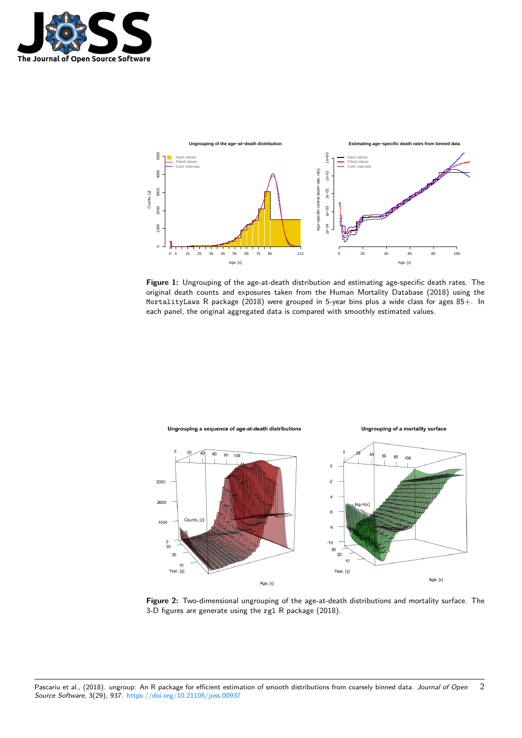



**Figure 1:** Ungrouping of the age-at-death distribution and estimating age-specific death rates. The original death counts and exposures taken from the Human Mortality Database (2018) using the MortalityLaws R package (2018) were grouped in 5-year bins plus a wide class for ages 85+. In each panel, the original aggregated data is compared with smoothly estimated values.



**Figure 2:** Two-dimensional ungrouping of the age-at-death distributions and mortality surface. The 3-D figures are generate using the rgl R package (2018).